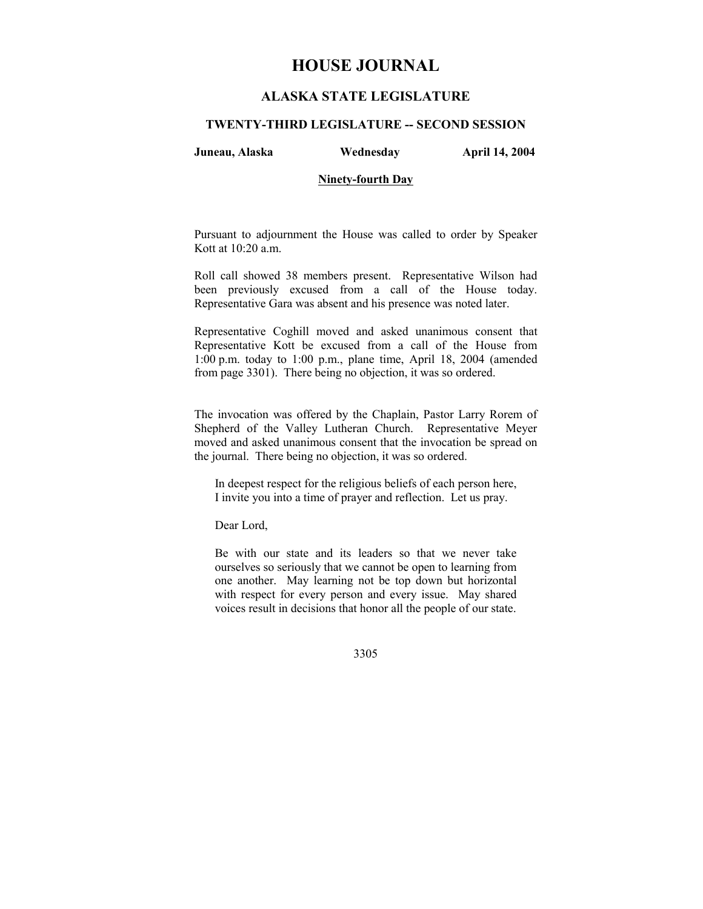# **HOUSE JOURNAL**

## **ALASKA STATE LEGISLATURE**

## **TWENTY-THIRD LEGISLATURE -- SECOND SESSION**

**Juneau, Alaska Wednesday April 14, 2004** 

## **Ninety-fourth Day**

Pursuant to adjournment the House was called to order by Speaker Kott at 10:20 a.m.

Roll call showed 38 members present. Representative Wilson had been previously excused from a call of the House today. Representative Gara was absent and his presence was noted later.

Representative Coghill moved and asked unanimous consent that Representative Kott be excused from a call of the House from 1:00 p.m. today to 1:00 p.m., plane time, April 18, 2004 (amended from page 3301). There being no objection, it was so ordered.

The invocation was offered by the Chaplain, Pastor Larry Rorem of Shepherd of the Valley Lutheran Church. Representative Meyer moved and asked unanimous consent that the invocation be spread on the journal. There being no objection, it was so ordered.

In deepest respect for the religious beliefs of each person here, I invite you into a time of prayer and reflection. Let us pray.

Dear Lord,

Be with our state and its leaders so that we never take ourselves so seriously that we cannot be open to learning from one another. May learning not be top down but horizontal with respect for every person and every issue. May shared voices result in decisions that honor all the people of our state.

3305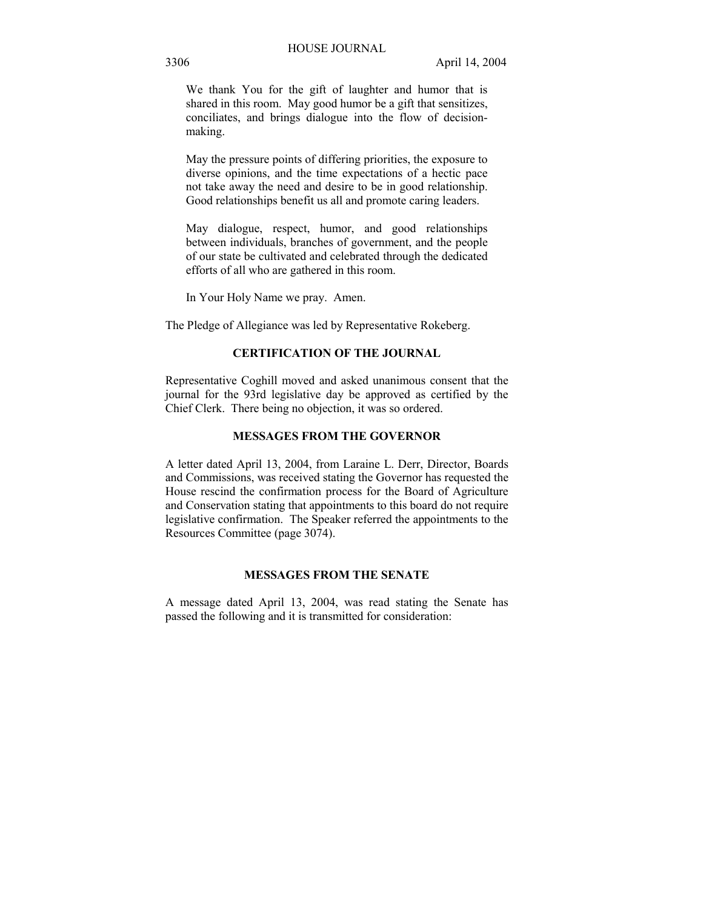We thank You for the gift of laughter and humor that is shared in this room. May good humor be a gift that sensitizes, conciliates, and brings dialogue into the flow of decisionmaking.

May the pressure points of differing priorities, the exposure to diverse opinions, and the time expectations of a hectic pace not take away the need and desire to be in good relationship. Good relationships benefit us all and promote caring leaders.

May dialogue, respect, humor, and good relationships between individuals, branches of government, and the people of our state be cultivated and celebrated through the dedicated efforts of all who are gathered in this room.

In Your Holy Name we pray. Amen.

The Pledge of Allegiance was led by Representative Rokeberg.

## **CERTIFICATION OF THE JOURNAL**

Representative Coghill moved and asked unanimous consent that the journal for the 93rd legislative day be approved as certified by the Chief Clerk. There being no objection, it was so ordered.

## **MESSAGES FROM THE GOVERNOR**

A letter dated April 13, 2004, from Laraine L. Derr, Director, Boards and Commissions, was received stating the Governor has requested the House rescind the confirmation process for the Board of Agriculture and Conservation stating that appointments to this board do not require legislative confirmation. The Speaker referred the appointments to the Resources Committee (page 3074).

## **MESSAGES FROM THE SENATE**

A message dated April 13, 2004, was read stating the Senate has passed the following and it is transmitted for consideration: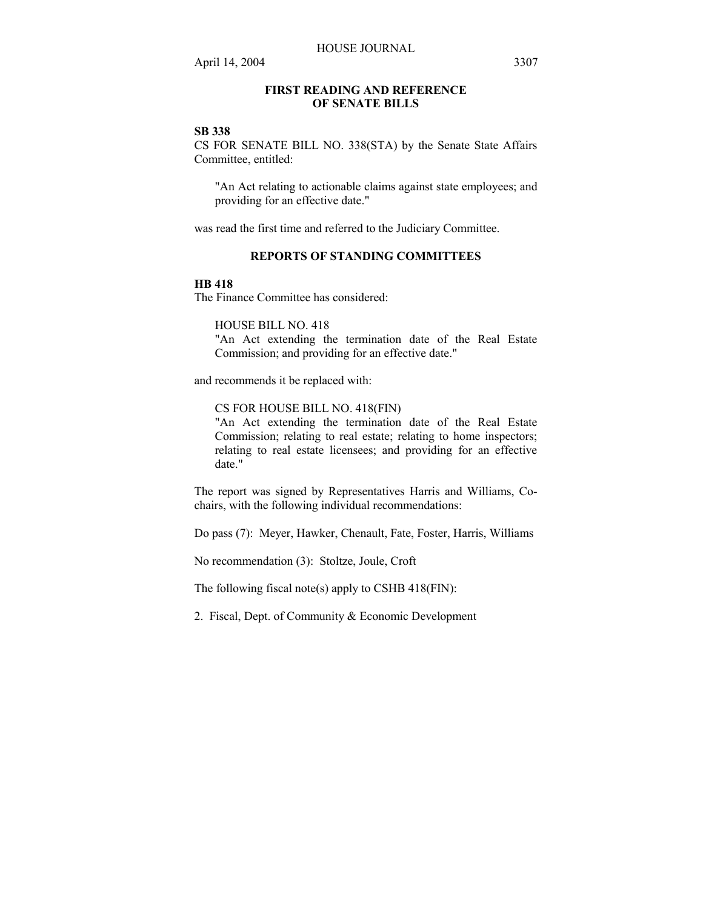## **FIRST READING AND REFERENCE OF SENATE BILLS**

### **SB 338**

CS FOR SENATE BILL NO. 338(STA) by the Senate State Affairs Committee, entitled:

"An Act relating to actionable claims against state employees; and providing for an effective date."

was read the first time and referred to the Judiciary Committee.

## **REPORTS OF STANDING COMMITTEES**

#### **HB 418**

The Finance Committee has considered:

HOUSE BILL NO. 418

"An Act extending the termination date of the Real Estate Commission; and providing for an effective date."

and recommends it be replaced with:

CS FOR HOUSE BILL NO. 418(FIN)

"An Act extending the termination date of the Real Estate Commission; relating to real estate; relating to home inspectors; relating to real estate licensees; and providing for an effective date."

The report was signed by Representatives Harris and Williams, Cochairs, with the following individual recommendations:

Do pass (7): Meyer, Hawker, Chenault, Fate, Foster, Harris, Williams

No recommendation (3): Stoltze, Joule, Croft

The following fiscal note(s) apply to CSHB 418(FIN):

2. Fiscal, Dept. of Community & Economic Development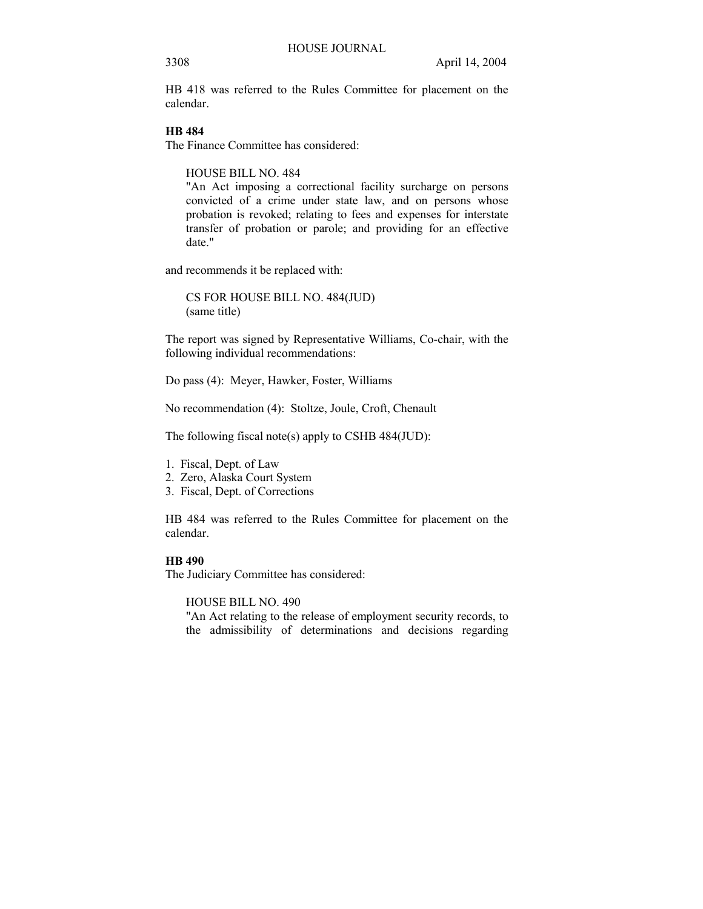HB 418 was referred to the Rules Committee for placement on the calendar.

## **HB 484**

The Finance Committee has considered:

HOUSE BILL NO. 484

"An Act imposing a correctional facility surcharge on persons convicted of a crime under state law, and on persons whose probation is revoked; relating to fees and expenses for interstate transfer of probation or parole; and providing for an effective date."

and recommends it be replaced with:

CS FOR HOUSE BILL NO. 484(JUD) (same title)

The report was signed by Representative Williams, Co-chair, with the following individual recommendations:

Do pass (4): Meyer, Hawker, Foster, Williams

No recommendation (4): Stoltze, Joule, Croft, Chenault

The following fiscal note(s) apply to CSHB 484(JUD):

- 1. Fiscal, Dept. of Law
- 2. Zero, Alaska Court System
- 3. Fiscal, Dept. of Corrections

HB 484 was referred to the Rules Committee for placement on the calendar.

## **HB 490**

The Judiciary Committee has considered:

HOUSE BILL NO. 490

"An Act relating to the release of employment security records, to the admissibility of determinations and decisions regarding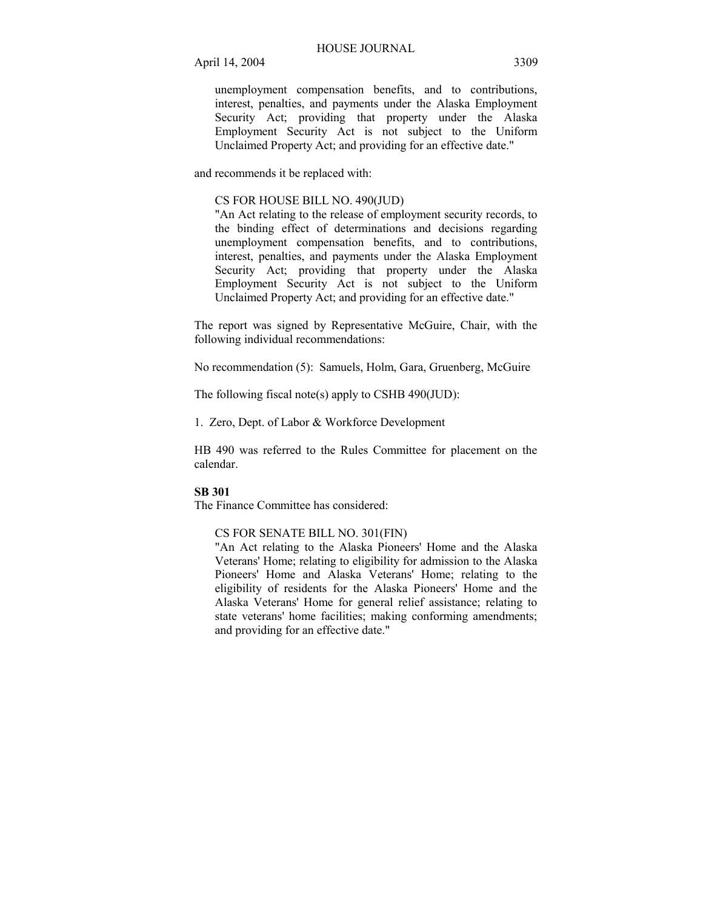unemployment compensation benefits, and to contributions, interest, penalties, and payments under the Alaska Employment Security Act; providing that property under the Alaska Employment Security Act is not subject to the Uniform Unclaimed Property Act; and providing for an effective date."

and recommends it be replaced with:

#### CS FOR HOUSE BILL NO. 490(JUD)

"An Act relating to the release of employment security records, to the binding effect of determinations and decisions regarding unemployment compensation benefits, and to contributions, interest, penalties, and payments under the Alaska Employment Security Act; providing that property under the Alaska Employment Security Act is not subject to the Uniform Unclaimed Property Act; and providing for an effective date."

The report was signed by Representative McGuire, Chair, with the following individual recommendations:

No recommendation (5): Samuels, Holm, Gara, Gruenberg, McGuire

The following fiscal note(s) apply to CSHB 490(JUD):

1. Zero, Dept. of Labor & Workforce Development

HB 490 was referred to the Rules Committee for placement on the calendar.

## **SB 301**

The Finance Committee has considered:

#### CS FOR SENATE BILL NO. 301(FIN)

"An Act relating to the Alaska Pioneers' Home and the Alaska Veterans' Home; relating to eligibility for admission to the Alaska Pioneers' Home and Alaska Veterans' Home; relating to the eligibility of residents for the Alaska Pioneers' Home and the Alaska Veterans' Home for general relief assistance; relating to state veterans' home facilities; making conforming amendments; and providing for an effective date."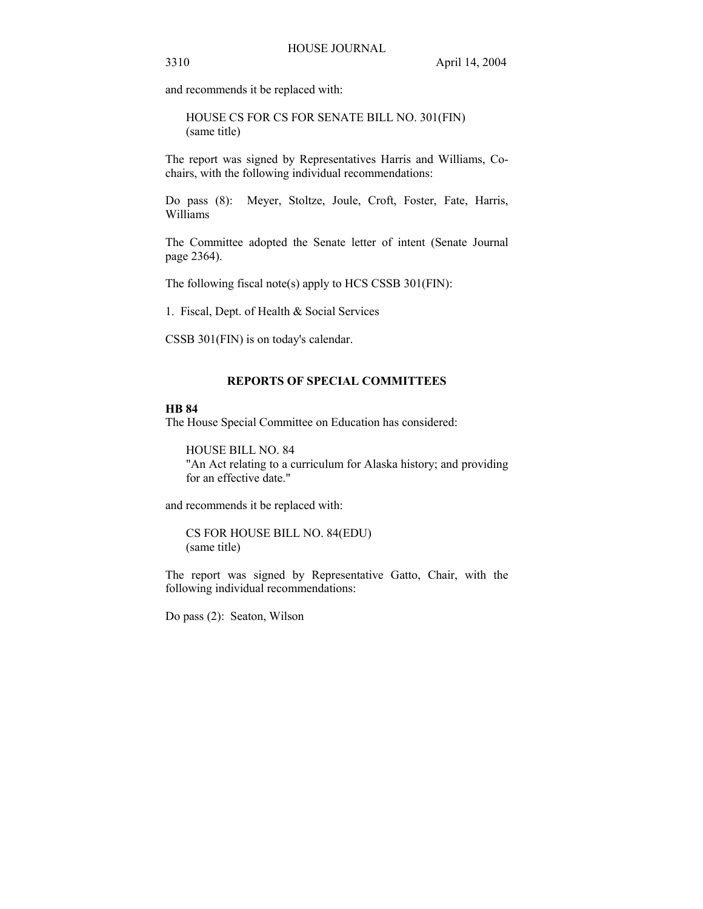and recommends it be replaced with:

HOUSE CS FOR CS FOR SENATE BILL NO. 301(FIN) (same title)

The report was signed by Representatives Harris and Williams, Cochairs, with the following individual recommendations:

Do pass (8): Meyer, Stoltze, Joule, Croft, Foster, Fate, Harris, Williams

The Committee adopted the Senate letter of intent (Senate Journal page 2364).

The following fiscal note(s) apply to HCS CSSB 301(FIN):

1. Fiscal, Dept. of Health & Social Services

CSSB 301(FIN) is on today's calendar.

## **REPORTS OF SPECIAL COMMITTEES**

#### **HB 84**

The House Special Committee on Education has considered:

HOUSE BILL NO. 84 "An Act relating to a curriculum for Alaska history; and providing for an effective date."

and recommends it be replaced with:

CS FOR HOUSE BILL NO. 84(EDU) (same title)

The report was signed by Representative Gatto, Chair, with the following individual recommendations:

Do pass (2): Seaton, Wilson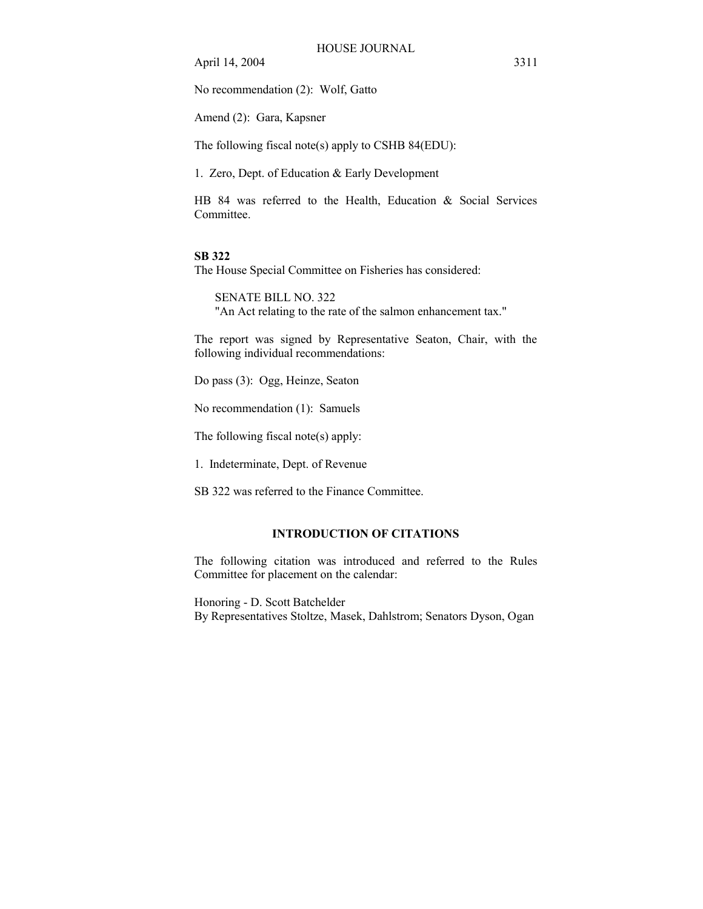No recommendation (2): Wolf, Gatto

Amend (2): Gara, Kapsner

The following fiscal note(s) apply to CSHB 84(EDU):

1. Zero, Dept. of Education & Early Development

HB 84 was referred to the Health, Education & Social Services Committee.

#### **SB 322**

The House Special Committee on Fisheries has considered:

SENATE BILL NO. 322 "An Act relating to the rate of the salmon enhancement tax."

The report was signed by Representative Seaton, Chair, with the following individual recommendations:

Do pass (3): Ogg, Heinze, Seaton

No recommendation (1): Samuels

The following fiscal note(s) apply:

1. Indeterminate, Dept. of Revenue

SB 322 was referred to the Finance Committee.

### **INTRODUCTION OF CITATIONS**

The following citation was introduced and referred to the Rules Committee for placement on the calendar:

Honoring - D. Scott Batchelder By Representatives Stoltze, Masek, Dahlstrom; Senators Dyson, Ogan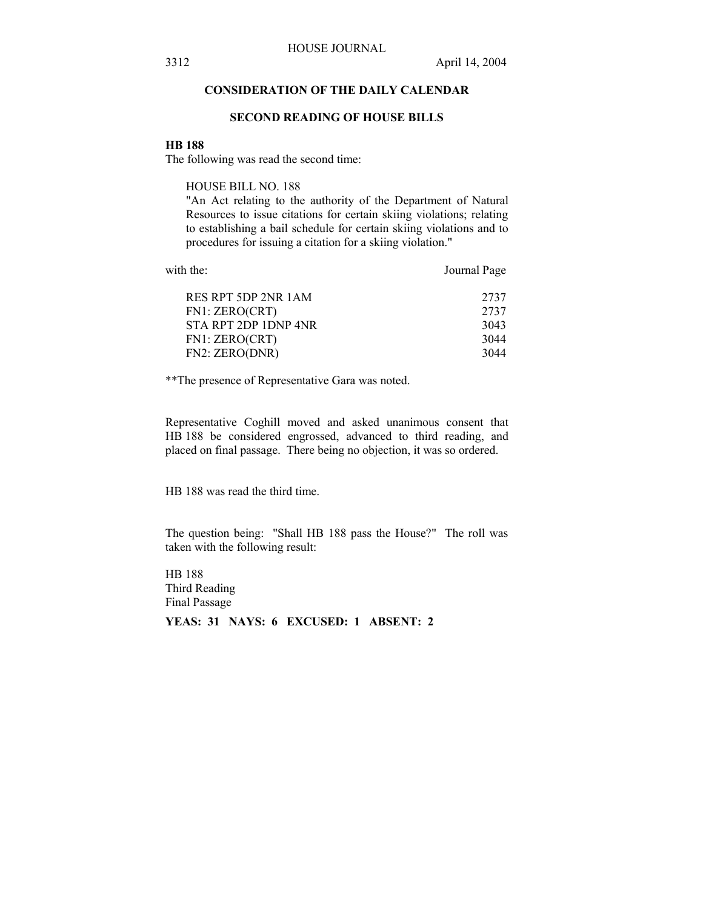## **CONSIDERATION OF THE DAILY CALENDAR**

## **SECOND READING OF HOUSE BILLS**

#### **HB 188**

The following was read the second time:

HOUSE BILL NO. 188

"An Act relating to the authority of the Department of Natural Resources to issue citations for certain skiing violations; relating to establishing a bail schedule for certain skiing violations and to procedures for issuing a citation for a skiing violation."

| RES RPT 5DP 2NR 1AM  | 2737 |
|----------------------|------|
| FN1: ZERO(CRT)       | 2737 |
| STA RPT 2DP 1DNP 4NR | 3043 |
| FN1: ZERO(CRT)       | 3044 |
| FN2: ZERO(DNR)       | 3044 |
|                      |      |

with the: Journal Page

\*\*The presence of Representative Gara was noted.

Representative Coghill moved and asked unanimous consent that HB 188 be considered engrossed, advanced to third reading, and placed on final passage. There being no objection, it was so ordered.

HB 188 was read the third time.

The question being: "Shall HB 188 pass the House?" The roll was taken with the following result:

HB 188 Third Reading Final Passage **YEAS: 31 NAYS: 6 EXCUSED: 1 ABSENT: 2**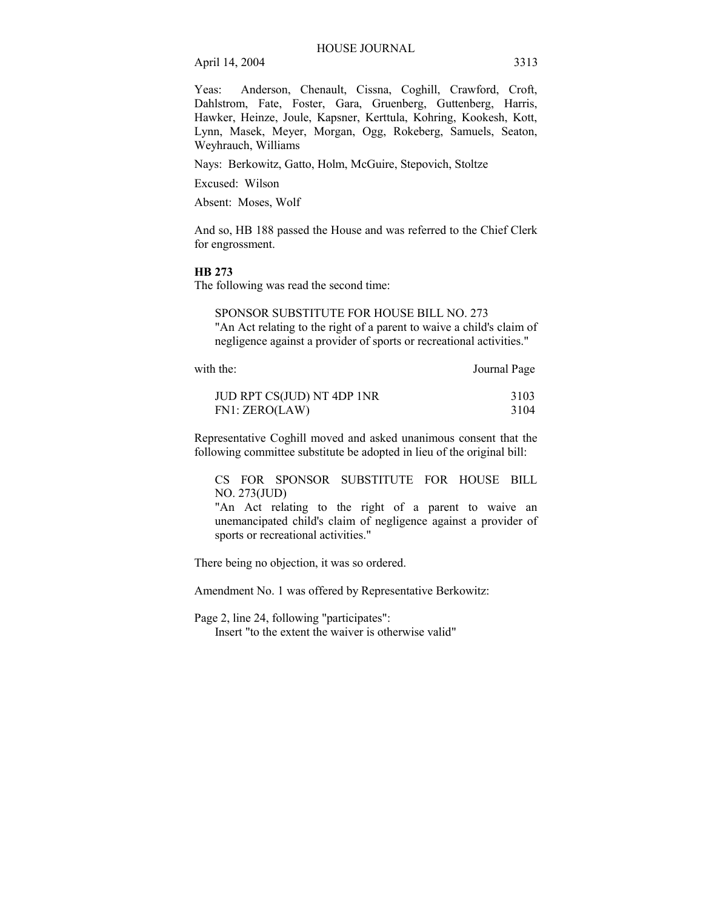Yeas: Anderson, Chenault, Cissna, Coghill, Crawford, Croft, Dahlstrom, Fate, Foster, Gara, Gruenberg, Guttenberg, Harris, Hawker, Heinze, Joule, Kapsner, Kerttula, Kohring, Kookesh, Kott, Lynn, Masek, Meyer, Morgan, Ogg, Rokeberg, Samuels, Seaton, Weyhrauch, Williams

Nays: Berkowitz, Gatto, Holm, McGuire, Stepovich, Stoltze

Excused: Wilson

Absent: Moses, Wolf

And so, HB 188 passed the House and was referred to the Chief Clerk for engrossment.

#### **HB 273**

The following was read the second time:

SPONSOR SUBSTITUTE FOR HOUSE BILL NO. 273 "An Act relating to the right of a parent to waive a child's claim of negligence against a provider of sports or recreational activities."

with the: Journal Page

| JUD RPT CS(JUD) NT 4DP 1NR | 3103 |
|----------------------------|------|
| FN1: ZERO(LAW)             | 3104 |

Representative Coghill moved and asked unanimous consent that the following committee substitute be adopted in lieu of the original bill:

CS FOR SPONSOR SUBSTITUTE FOR HOUSE BILL NO. 273(JUD)

"An Act relating to the right of a parent to waive an unemancipated child's claim of negligence against a provider of sports or recreational activities."

There being no objection, it was so ordered.

Amendment No. 1 was offered by Representative Berkowitz:

Page 2, line 24, following "participates": Insert "to the extent the waiver is otherwise valid"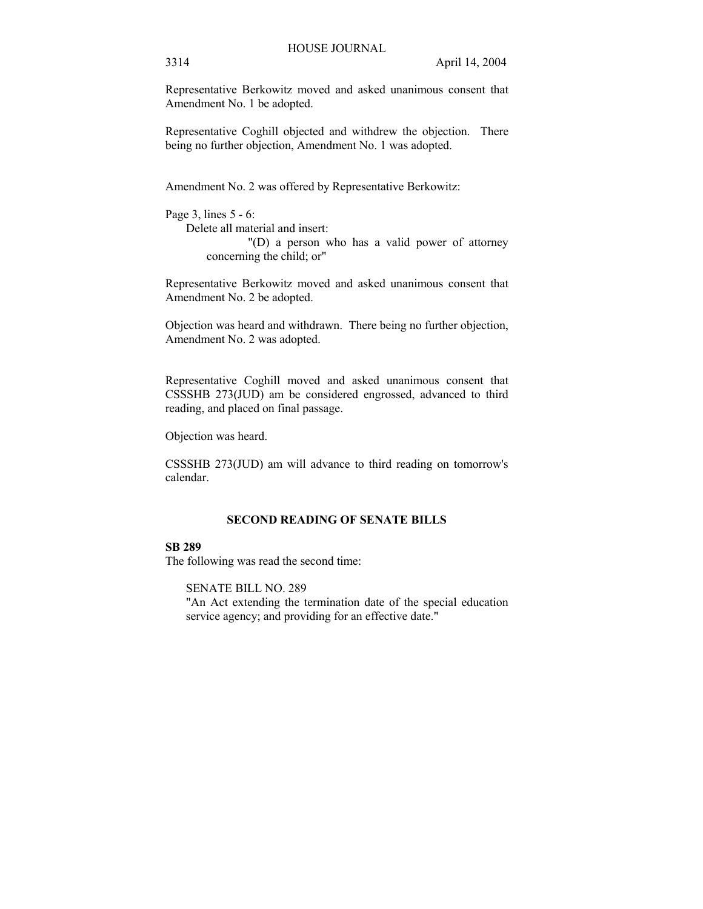Representative Berkowitz moved and asked unanimous consent that Amendment No. 1 be adopted.

Representative Coghill objected and withdrew the objection. There being no further objection, Amendment No. 1 was adopted.

Amendment No. 2 was offered by Representative Berkowitz:

```
Page 3, lines 5 - 6: 
Delete all material and insert: 
             "(D) a person who has a valid power of attorney 
   concerning the child; or"
```
Representative Berkowitz moved and asked unanimous consent that Amendment No. 2 be adopted.

Objection was heard and withdrawn. There being no further objection, Amendment No. 2 was adopted.

Representative Coghill moved and asked unanimous consent that CSSSHB 273(JUD) am be considered engrossed, advanced to third reading, and placed on final passage.

Objection was heard.

CSSSHB 273(JUD) am will advance to third reading on tomorrow's calendar.

## **SECOND READING OF SENATE BILLS**

## **SB 289**

The following was read the second time:

SENATE BILL NO. 289

"An Act extending the termination date of the special education service agency; and providing for an effective date."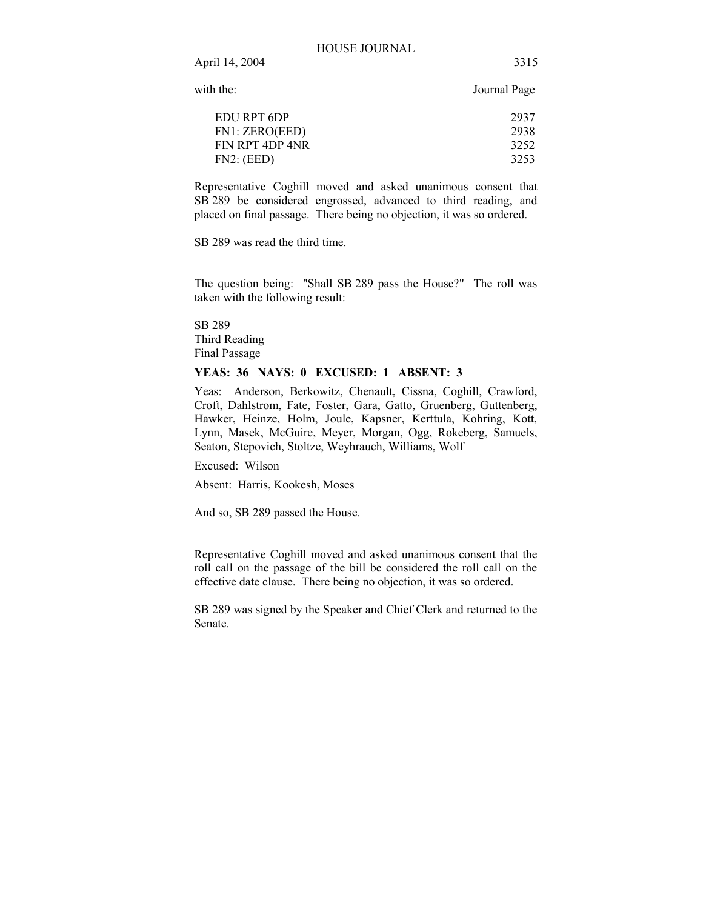with the: Journal Page

| EDU RPT 6DP     | 2937 |
|-----------------|------|
| FN1: ZERO(EED)  | 2938 |
| FIN RPT 4DP 4NR | 3252 |
| FN2: (EED)      | 3253 |

Representative Coghill moved and asked unanimous consent that SB 289 be considered engrossed, advanced to third reading, and placed on final passage. There being no objection, it was so ordered.

SB 289 was read the third time.

The question being: "Shall SB 289 pass the House?" The roll was taken with the following result:

SB 289 Third Reading Final Passage

#### **YEAS: 36 NAYS: 0 EXCUSED: 1 ABSENT: 3**

Yeas: Anderson, Berkowitz, Chenault, Cissna, Coghill, Crawford, Croft, Dahlstrom, Fate, Foster, Gara, Gatto, Gruenberg, Guttenberg, Hawker, Heinze, Holm, Joule, Kapsner, Kerttula, Kohring, Kott, Lynn, Masek, McGuire, Meyer, Morgan, Ogg, Rokeberg, Samuels, Seaton, Stepovich, Stoltze, Weyhrauch, Williams, Wolf

Excused: Wilson

Absent: Harris, Kookesh, Moses

And so, SB 289 passed the House.

Representative Coghill moved and asked unanimous consent that the roll call on the passage of the bill be considered the roll call on the effective date clause. There being no objection, it was so ordered.

SB 289 was signed by the Speaker and Chief Clerk and returned to the Senate.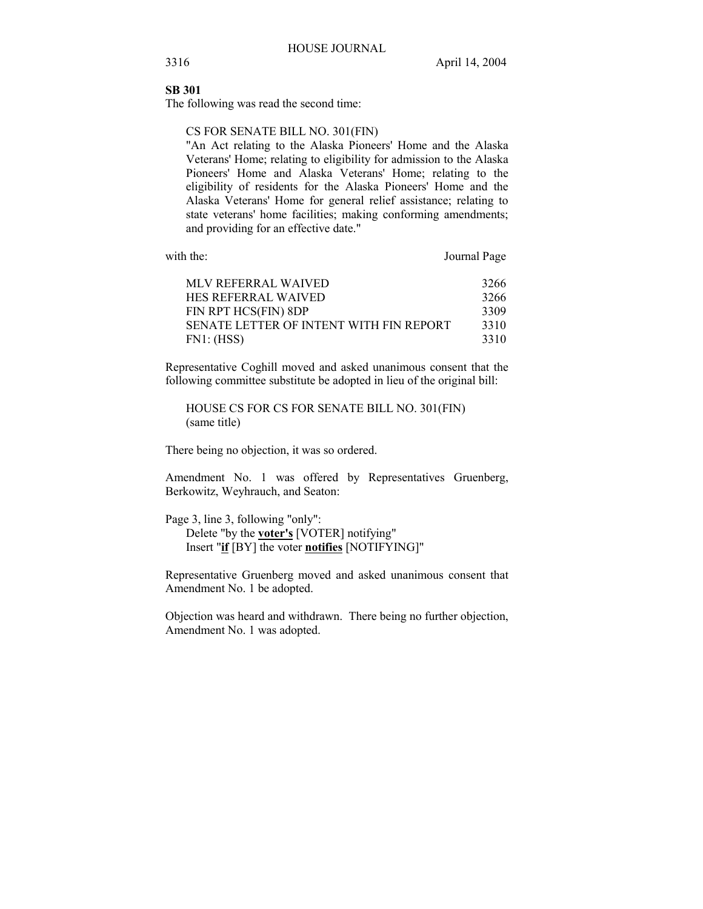## **SB 301**

The following was read the second time:

CS FOR SENATE BILL NO. 301(FIN)

"An Act relating to the Alaska Pioneers' Home and the Alaska Veterans' Home; relating to eligibility for admission to the Alaska Pioneers' Home and Alaska Veterans' Home; relating to the eligibility of residents for the Alaska Pioneers' Home and the Alaska Veterans' Home for general relief assistance; relating to state veterans' home facilities; making conforming amendments; and providing for an effective date."

with the: Journal Page

| MLV REFERRAL WAIVED                     | 3266 |
|-----------------------------------------|------|
| HES REFERRAL WAIVED                     | 3266 |
| FIN RPT HCS(FIN) 8DP                    | 3309 |
| SENATE LETTER OF INTENT WITH FIN REPORT | 3310 |
| FN1: (HSS)                              | 3310 |

Representative Coghill moved and asked unanimous consent that the following committee substitute be adopted in lieu of the original bill:

HOUSE CS FOR CS FOR SENATE BILL NO. 301(FIN) (same title)

There being no objection, it was so ordered.

Amendment No. 1 was offered by Representatives Gruenberg, Berkowitz, Weyhrauch, and Seaton:

Page 3, line 3, following "only": Delete "by the **voter's** [VOTER] notifying"

Insert "**if** [BY] the voter **notifies** [NOTIFYING]"

Representative Gruenberg moved and asked unanimous consent that Amendment No. 1 be adopted.

Objection was heard and withdrawn. There being no further objection, Amendment No. 1 was adopted.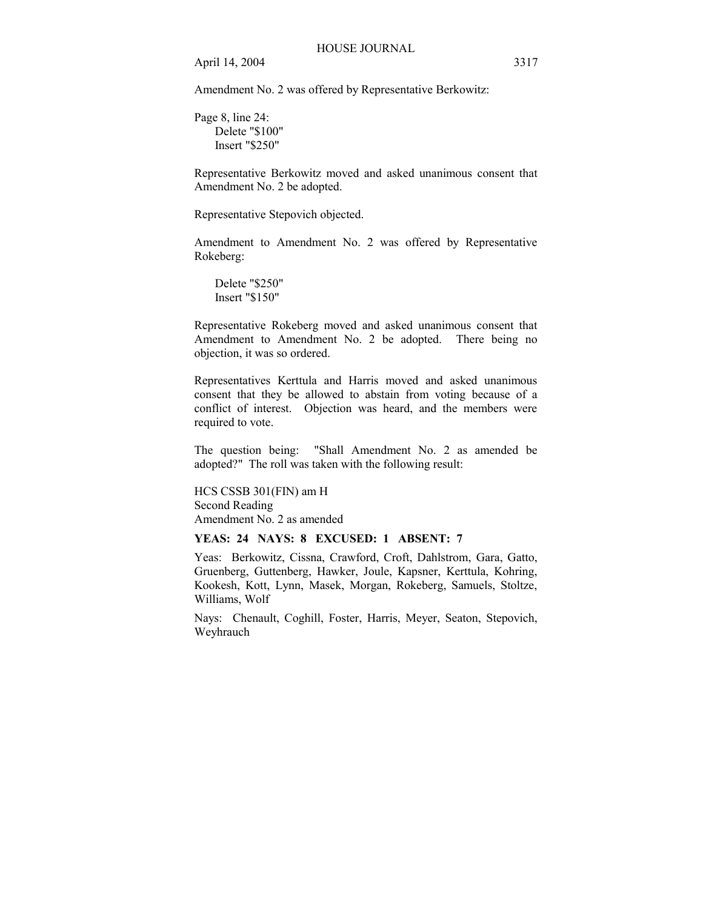Amendment No. 2 was offered by Representative Berkowitz:

Page 8, line 24: Delete "\$100" Insert "\$250"

Representative Berkowitz moved and asked unanimous consent that Amendment No. 2 be adopted.

Representative Stepovich objected.

Amendment to Amendment No. 2 was offered by Representative Rokeberg:

Delete "\$250" Insert "\$150"

Representative Rokeberg moved and asked unanimous consent that Amendment to Amendment No. 2 be adopted. There being no objection, it was so ordered.

Representatives Kerttula and Harris moved and asked unanimous consent that they be allowed to abstain from voting because of a conflict of interest. Objection was heard, and the members were required to vote.

The question being: "Shall Amendment No. 2 as amended be adopted?" The roll was taken with the following result:

HCS CSSB 301(FIN) am H Second Reading Amendment No. 2 as amended

#### **YEAS: 24 NAYS: 8 EXCUSED: 1 ABSENT: 7**

Yeas: Berkowitz, Cissna, Crawford, Croft, Dahlstrom, Gara, Gatto, Gruenberg, Guttenberg, Hawker, Joule, Kapsner, Kerttula, Kohring, Kookesh, Kott, Lynn, Masek, Morgan, Rokeberg, Samuels, Stoltze, Williams, Wolf

Nays: Chenault, Coghill, Foster, Harris, Meyer, Seaton, Stepovich, Weyhrauch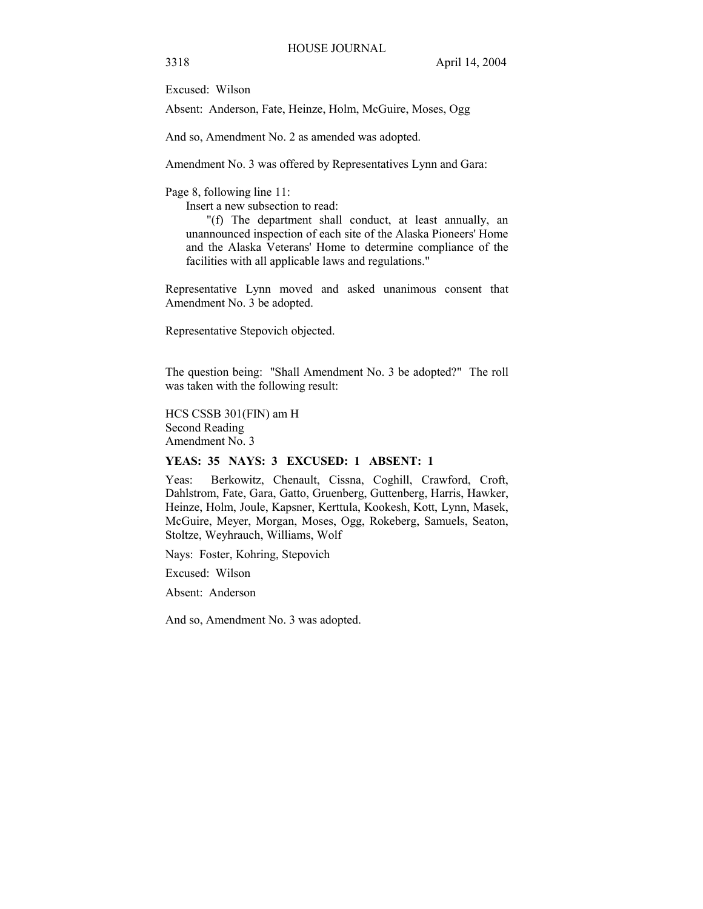Excused: Wilson

Absent: Anderson, Fate, Heinze, Holm, McGuire, Moses, Ogg

And so, Amendment No. 2 as amended was adopted.

Amendment No. 3 was offered by Representatives Lynn and Gara:

Page 8, following line 11:

Insert a new subsection to read:

 "(f) The department shall conduct, at least annually, an unannounced inspection of each site of the Alaska Pioneers' Home and the Alaska Veterans' Home to determine compliance of the facilities with all applicable laws and regulations."

Representative Lynn moved and asked unanimous consent that Amendment No. 3 be adopted.

Representative Stepovich objected.

The question being: "Shall Amendment No. 3 be adopted?" The roll was taken with the following result:

HCS CSSB 301(FIN) am H Second Reading Amendment No. 3

#### **YEAS: 35 NAYS: 3 EXCUSED: 1 ABSENT: 1**

Yeas: Berkowitz, Chenault, Cissna, Coghill, Crawford, Croft, Dahlstrom, Fate, Gara, Gatto, Gruenberg, Guttenberg, Harris, Hawker, Heinze, Holm, Joule, Kapsner, Kerttula, Kookesh, Kott, Lynn, Masek, McGuire, Meyer, Morgan, Moses, Ogg, Rokeberg, Samuels, Seaton, Stoltze, Weyhrauch, Williams, Wolf

Nays: Foster, Kohring, Stepovich

Excused: Wilson

Absent: Anderson

And so, Amendment No. 3 was adopted.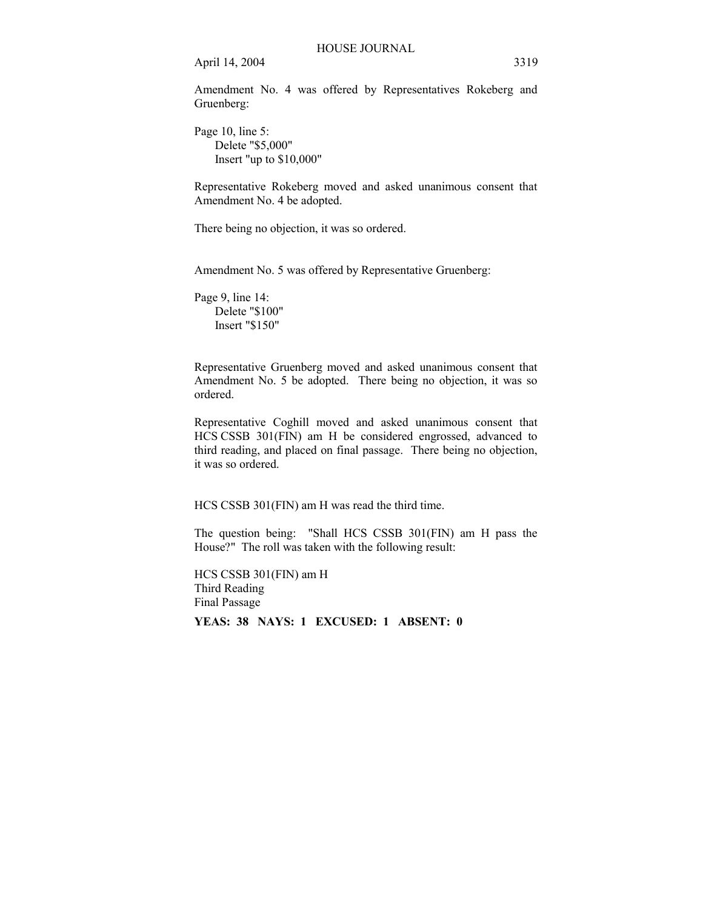Amendment No. 4 was offered by Representatives Rokeberg and Gruenberg:

Page 10, line 5: Delete "\$5,000" Insert "up to \$10,000"

Representative Rokeberg moved and asked unanimous consent that Amendment No. 4 be adopted.

There being no objection, it was so ordered.

Amendment No. 5 was offered by Representative Gruenberg:

Page 9, line 14: Delete "\$100" Insert "\$150"

Representative Gruenberg moved and asked unanimous consent that Amendment No. 5 be adopted. There being no objection, it was so ordered.

Representative Coghill moved and asked unanimous consent that HCS CSSB 301(FIN) am H be considered engrossed, advanced to third reading, and placed on final passage. There being no objection, it was so ordered.

HCS CSSB 301(FIN) am H was read the third time.

The question being: "Shall HCS CSSB 301(FIN) am H pass the House?" The roll was taken with the following result:

HCS CSSB 301(FIN) am H Third Reading Final Passage **YEAS: 38 NAYS: 1 EXCUSED: 1 ABSENT: 0**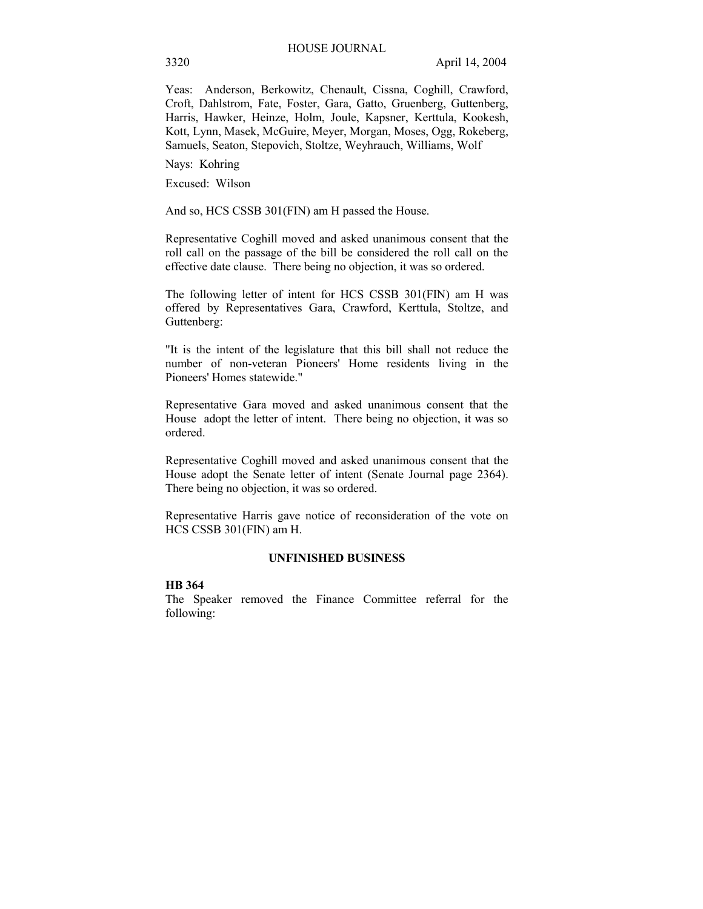Yeas: Anderson, Berkowitz, Chenault, Cissna, Coghill, Crawford, Croft, Dahlstrom, Fate, Foster, Gara, Gatto, Gruenberg, Guttenberg, Harris, Hawker, Heinze, Holm, Joule, Kapsner, Kerttula, Kookesh, Kott, Lynn, Masek, McGuire, Meyer, Morgan, Moses, Ogg, Rokeberg, Samuels, Seaton, Stepovich, Stoltze, Weyhrauch, Williams, Wolf

Nays: Kohring

Excused: Wilson

And so, HCS CSSB 301(FIN) am H passed the House.

Representative Coghill moved and asked unanimous consent that the roll call on the passage of the bill be considered the roll call on the effective date clause. There being no objection, it was so ordered.

The following letter of intent for HCS CSSB 301(FIN) am H was offered by Representatives Gara, Crawford, Kerttula, Stoltze, and Guttenberg:

"It is the intent of the legislature that this bill shall not reduce the number of non-veteran Pioneers' Home residents living in the Pioneers' Homes statewide."

Representative Gara moved and asked unanimous consent that the House adopt the letter of intent. There being no objection, it was so ordered.

Representative Coghill moved and asked unanimous consent that the House adopt the Senate letter of intent (Senate Journal page 2364). There being no objection, it was so ordered.

Representative Harris gave notice of reconsideration of the vote on HCS CSSB 301(FIN) am H.

### **UNFINISHED BUSINESS**

### **HB 364**

The Speaker removed the Finance Committee referral for the following: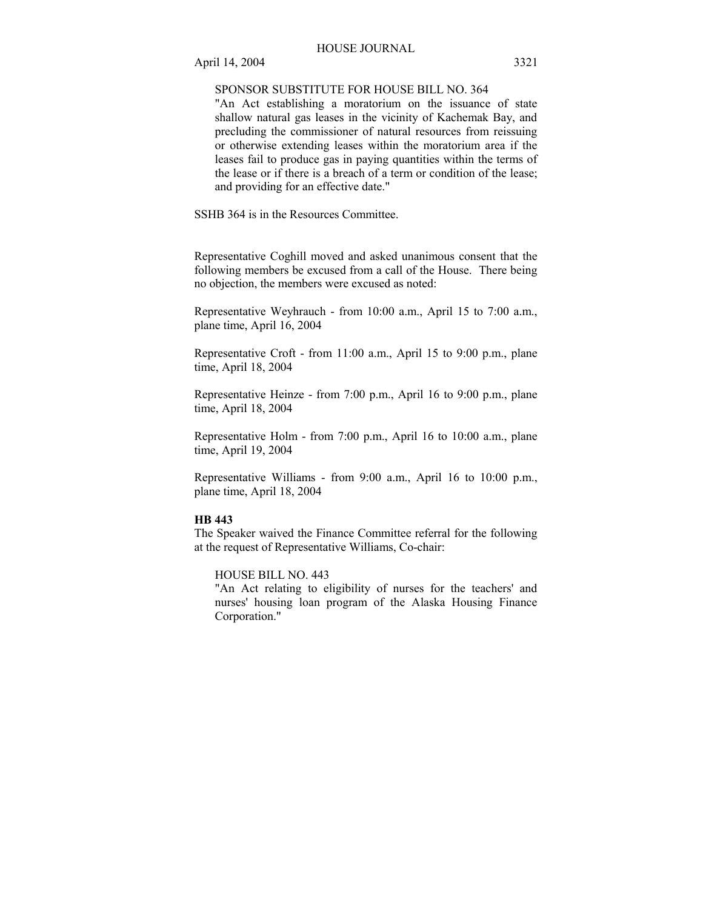## SPONSOR SUBSTITUTE FOR HOUSE BILL NO. 364

"An Act establishing a moratorium on the issuance of state shallow natural gas leases in the vicinity of Kachemak Bay, and precluding the commissioner of natural resources from reissuing or otherwise extending leases within the moratorium area if the leases fail to produce gas in paying quantities within the terms of the lease or if there is a breach of a term or condition of the lease; and providing for an effective date."

SSHB 364 is in the Resources Committee.

Representative Coghill moved and asked unanimous consent that the following members be excused from a call of the House. There being no objection, the members were excused as noted:

Representative Weyhrauch - from 10:00 a.m., April 15 to 7:00 a.m., plane time, April 16, 2004

Representative Croft - from 11:00 a.m., April 15 to 9:00 p.m., plane time, April 18, 2004

Representative Heinze - from 7:00 p.m., April 16 to 9:00 p.m., plane time, April 18, 2004

Representative Holm - from 7:00 p.m., April 16 to 10:00 a.m., plane time, April 19, 2004

Representative Williams - from 9:00 a.m., April 16 to 10:00 p.m., plane time, April 18, 2004

## **HB 443**

The Speaker waived the Finance Committee referral for the following at the request of Representative Williams, Co-chair:

## HOUSE BILL NO. 443

"An Act relating to eligibility of nurses for the teachers' and nurses' housing loan program of the Alaska Housing Finance Corporation."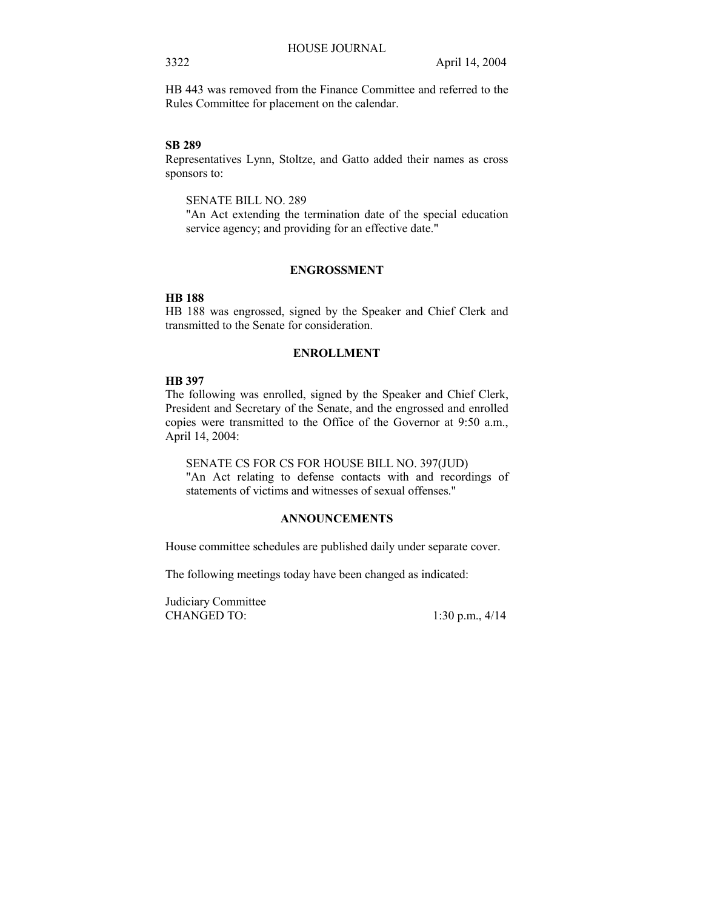HB 443 was removed from the Finance Committee and referred to the Rules Committee for placement on the calendar.

#### **SB 289**

Representatives Lynn, Stoltze, and Gatto added their names as cross sponsors to:

SENATE BILL NO. 289

"An Act extending the termination date of the special education service agency; and providing for an effective date."

#### **ENGROSSMENT**

## **HB 188**

HB 188 was engrossed, signed by the Speaker and Chief Clerk and transmitted to the Senate for consideration.

## **ENROLLMENT**

## **HB 397**

The following was enrolled, signed by the Speaker and Chief Clerk, President and Secretary of the Senate, and the engrossed and enrolled copies were transmitted to the Office of the Governor at 9:50 a.m., April 14, 2004:

SENATE CS FOR CS FOR HOUSE BILL NO. 397(JUD) "An Act relating to defense contacts with and recordings of statements of victims and witnesses of sexual offenses."

## **ANNOUNCEMENTS**

House committee schedules are published daily under separate cover.

The following meetings today have been changed as indicated:

Judiciary Committee CHANGED TO: 1:30 p.m., 4/14